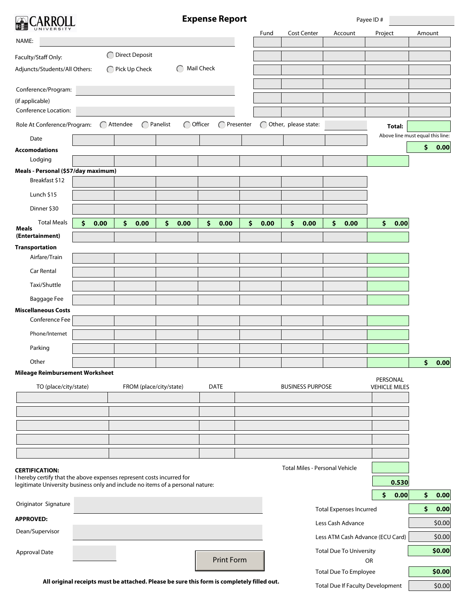

**Expense Report**

Payee ID #

| UNIVERSITY                                                                                                                                              |      |                         |                                 |                   |           | Fund | <b>Cost Center</b>             | Account                        | Project                          | Amount |        |
|---------------------------------------------------------------------------------------------------------------------------------------------------------|------|-------------------------|---------------------------------|-------------------|-----------|------|--------------------------------|--------------------------------|----------------------------------|--------|--------|
| NAME:                                                                                                                                                   |      |                         |                                 |                   |           |      |                                |                                |                                  |        |        |
| Faculty/Staff Only:                                                                                                                                     |      | ◯ Direct Deposit        |                                 |                   |           |      |                                |                                |                                  |        |        |
| Adjuncts/Students/All Others:                                                                                                                           |      | ◯ Pick Up Check         |                                 | Mail Check        |           |      |                                |                                |                                  |        |        |
|                                                                                                                                                         |      |                         |                                 |                   |           |      |                                |                                |                                  |        |        |
| Conference/Program:<br>(if applicable)                                                                                                                  |      |                         |                                 |                   |           |      |                                |                                |                                  |        |        |
| Conference Location:                                                                                                                                    |      |                         |                                 |                   |           |      |                                |                                |                                  |        |        |
| Role At Conference/Program:                                                                                                                             |      | ◯ Attendee              | ◯ Officer<br>$\bigcap$ Panelist | $\subset$         | Presenter |      | Other, please state:           |                                | Total:                           |        |        |
| Date                                                                                                                                                    |      |                         |                                 |                   |           |      |                                |                                | Above line must equal this line: |        |        |
| <b>Accomodations</b>                                                                                                                                    |      |                         |                                 |                   |           |      |                                |                                |                                  | \$     | 0.00   |
| Lodging                                                                                                                                                 |      |                         |                                 |                   |           |      |                                |                                |                                  |        |        |
| Meals - Personal (\$57/day maximum)                                                                                                                     |      |                         |                                 |                   |           |      |                                |                                |                                  |        |        |
| Breakfast \$12                                                                                                                                          |      |                         |                                 |                   |           |      |                                |                                |                                  |        |        |
| Lunch \$15                                                                                                                                              |      |                         |                                 |                   |           |      |                                |                                |                                  |        |        |
| Dinner \$30                                                                                                                                             |      |                         |                                 |                   |           |      |                                |                                |                                  |        |        |
| <b>Total Meals</b><br>\$<br>Meals                                                                                                                       | 0.00 | \$<br>0.00              | \$<br>0.00                      | \$.<br>0.00       | \$        | 0.00 | \$<br>0.00                     | \$<br>0.00                     | \$<br>0.00                       |        |        |
| (Entertainment)                                                                                                                                         |      |                         |                                 |                   |           |      |                                |                                |                                  |        |        |
| <b>Transportation</b>                                                                                                                                   |      |                         |                                 |                   |           |      |                                |                                |                                  |        |        |
| Airfare/Train                                                                                                                                           |      |                         |                                 |                   |           |      |                                |                                |                                  |        |        |
| Car Rental                                                                                                                                              |      |                         |                                 |                   |           |      |                                |                                |                                  |        |        |
| Taxi/Shuttle                                                                                                                                            |      |                         |                                 |                   |           |      |                                |                                |                                  |        |        |
| Baggage Fee                                                                                                                                             |      |                         |                                 |                   |           |      |                                |                                |                                  |        |        |
| <b>Miscellaneous Costs</b>                                                                                                                              |      |                         |                                 |                   |           |      |                                |                                |                                  |        |        |
| Conference Fee                                                                                                                                          |      |                         |                                 |                   |           |      |                                |                                |                                  |        |        |
| Phone/Internet                                                                                                                                          |      |                         |                                 |                   |           |      |                                |                                |                                  |        |        |
| Parking                                                                                                                                                 |      |                         |                                 |                   |           |      |                                |                                |                                  |        |        |
| Other                                                                                                                                                   |      |                         |                                 |                   |           |      |                                |                                |                                  | \$     | 0.00   |
| <b>Mileage Reimbursement Worksheet</b>                                                                                                                  |      |                         |                                 |                   |           |      |                                |                                | PERSONAL                         |        |        |
| TO (place/city/state)                                                                                                                                   |      | FROM (place/city/state) |                                 | <b>DATE</b>       |           |      | <b>BUSINESS PURPOSE</b>        |                                | <b>VEHICLE MILES</b>             |        |        |
|                                                                                                                                                         |      |                         |                                 |                   |           |      |                                |                                |                                  |        |        |
|                                                                                                                                                         |      |                         |                                 |                   |           |      |                                |                                |                                  |        |        |
|                                                                                                                                                         |      |                         |                                 |                   |           |      |                                |                                |                                  |        |        |
|                                                                                                                                                         |      |                         |                                 |                   |           |      |                                |                                |                                  |        |        |
|                                                                                                                                                         |      |                         |                                 |                   |           |      |                                |                                |                                  |        |        |
| <b>CERTIFICATION:</b>                                                                                                                                   |      |                         |                                 |                   |           |      | Total Miles - Personal Vehicle |                                |                                  |        |        |
| I hereby certify that the above expenses represent costs incurred for<br>legitimate University business only and include no items of a personal nature: |      |                         |                                 |                   |           |      |                                |                                | 0.530                            |        |        |
|                                                                                                                                                         |      |                         |                                 |                   |           |      |                                |                                | \$<br>0.00                       | \$     | 0.00   |
| Originator Signature                                                                                                                                    |      |                         |                                 |                   |           |      |                                | <b>Total Expenses Incurred</b> |                                  | \$     | 0.00   |
| <b>APPROVED:</b>                                                                                                                                        |      |                         |                                 |                   |           |      |                                | Less Cash Advance              |                                  |        | \$0.00 |
| Dean/Supervisor                                                                                                                                         |      |                         |                                 |                   |           |      |                                |                                |                                  |        |        |
|                                                                                                                                                         |      |                         |                                 |                   |           |      |                                |                                | Less ATM Cash Advance (ECU Card) |        | \$0.00 |
| Approval Date                                                                                                                                           |      |                         |                                 | <b>Print Form</b> |           |      |                                | <b>Total Due To University</b> | OR                               |        | \$0.00 |
|                                                                                                                                                         |      |                         |                                 |                   |           |      |                                | <b>Total Due To Employee</b>   |                                  |        | \$0.00 |
| All original receipts must be attached. Please be sure this form is completely filled out.<br><b>Total Due If Faculty Development</b>                   |      |                         |                                 |                   |           |      |                                | \$0.00                         |                                  |        |        |